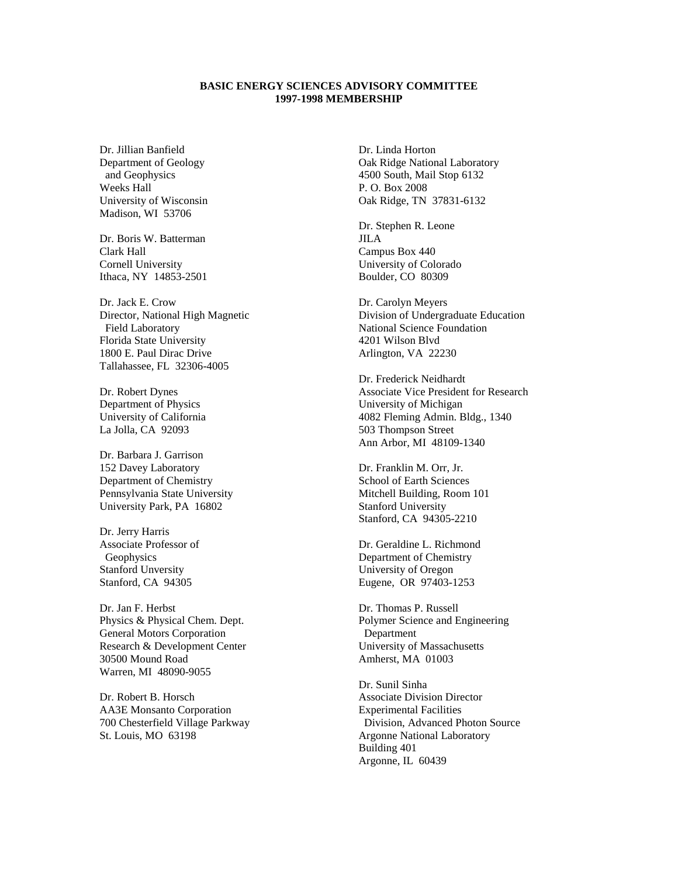## **BASIC ENERGY SCIENCES ADVISORY COMMITTEE 1997-1998 MEMBERSHIP**

Dr. Jillian Banfield Department of Geology and Geophysics Weeks Hall University of Wisconsin Madison, WI 53706

Dr. Boris W. Batterman Clark Hall Cornell University Ithaca, NY 14853-2501

Dr. Jack E. Crow Director, National High Magnetic Field Laboratory Florida State University 1800 E. Paul Dirac Drive Tallahassee, FL 32306-4005

Dr. Robert Dynes Department of Physics University of California La Jolla, CA 92093

Dr. Barbara J. Garrison 152 Davey Laboratory Department of Chemistry Pennsylvania State University University Park, PA 16802

Dr. Jerry Harris Associate Professor of Geophysics Stanford Unversity Stanford, CA 94305

Dr. Jan F. Herbst Physics & Physical Chem. Dept. General Motors Corporation Research & Development Center 30500 Mound Road Warren, MI 48090-9055

Dr. Robert B. Horsch AA3E Monsanto Corporation 700 Chesterfield Village Parkway St. Louis, MO 63198

Dr. Linda Horton Oak Ridge National Laboratory 4500 South, Mail Stop 6132 P. O. Box 2008 Oak Ridge, TN 37831-6132

Dr. Stephen R. Leone JILA Campus Box 440 University of Colorado Boulder, CO 80309

Dr. Carolyn Meyers Division of Undergraduate Education National Science Foundation 4201 Wilson Blvd Arlington, VA 22230

Dr. Frederick Neidhardt Associate Vice President for Research University of Michigan 4082 Fleming Admin. Bldg., 1340 503 Thompson Street Ann Arbor, MI 48109-1340

Dr. Franklin M. Orr, Jr. School of Earth Sciences Mitchell Building, Room 101 Stanford University Stanford, CA 94305-2210

Dr. Geraldine L. Richmond Department of Chemistry University of Oregon Eugene, OR 97403-1253

Dr. Thomas P. Russell Polymer Science and Engineering Department University of Massachusetts Amherst, MA 01003

Dr. Sunil Sinha Associate Division Director Experimental Facilities Division, Advanced Photon Source Argonne National Laboratory Building 401 Argonne, IL 60439